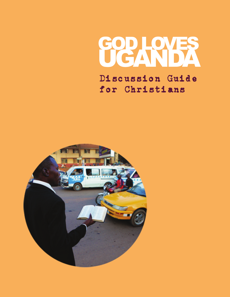

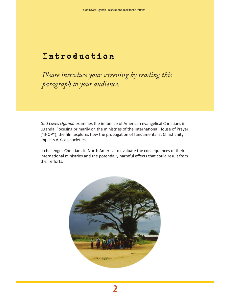# Introduction

*Please introduce your screening by reading this paragraph to your audience.*

*God Loves Uganda* examines the influence of American evangelical Christians in Uganda. Focusing primarily on the ministries of the International House of Prayer ("IHOP"), the film explores how the propagation of fundamentalist Christianity impacts African societies.

It challenges Christians in North America to evaluate the consequences of their international ministries and the potentially harmful effects that could result from their efforts.

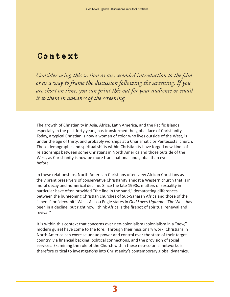# Context

*Consider using this section as an extended introduction to the film or as a way to frame the discussion following the screening. If you are short on time, you can print this out for your audience or email it to them in advance of the screening.*

The growth of Christianity in Asia, Africa, Latin America, and the Pacific Islands, especially in the past forty years, has transformed the global face of Christianity. Today, a typical Christian is now a woman of color who lives outside of the West, is under the age of thirty, and probably worships at a Charismatic or Pentecostal church. These demographic and spiritual shifts within Christianity have forged new kinds of relationships between some Christians in North America and those outside of the West, as Christianity is now be more trans-national and global than ever before.

In these relationships, North American Christians often view African Christians as the vibrant preservers of conservative Christianity amidst a Western church that is in moral decay and numerical decline. Since the late 1990s, matters of sexuality in particular have often provided "the line in the sand," demarcating differences between the burgeoning Christian churches of Sub-Saharan Africa and those of the "liberal" or "decrepit" West. As Lou Engle states in *God Loves Uganda*: "The West has been in a decline, but right now I think Africa is the firepot of spiritual renewal and revival."

It is within this context that concerns over neo-colonialism (colonialism in a "new," modern guise) have come to the fore. Through their missionary work, Christians in North America can exercise undue power and control over the state of their target country, via financial backing, political connections, and the provision of social services. Examining the role of the Church within these neo-colonial networks is therefore critical to investigations into Christianity's contemporary global dynamics.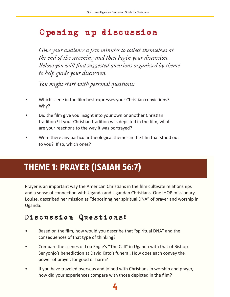# Opening up discussion

*Give your audience a few minutes to collect themselves at the end of the screening and then begin your discussion. Below you will find suggested questions organized by theme to help guide your discussion.* 

*You might start with personal questions:* 

- Which scene in the film best expresses your Christian convictions? Why?
- Did the film give you insight into your own or another Christian tradition? If your Christian tradition was depicted in the film, what are your reactions to the way it was portrayed?
- Were there any particular theological themes in the film that stood out to you? If so, which ones?

# THEME 1: PRAYER (ISAIAH 56:7)

Prayer is an important way the American Christians in the film cultivate relationships and a sense of connection with Uganda and Ugandan Christians. One IHOP missionary, Louise, described her mission as "depositing her spiritual DNA" of prayer and worship in Uganda.

# Discussion Questions:

- Based on the film, how would you describe that "spiritual DNA" and the consequences of that type of thinking?
- Compare the scenes of Lou Engle's "The Call" in Uganda with that of Bishop Senyonjo's benediction at David Kato's funeral. How does each convey the power of prayer, for good or harm?
- If you have traveled overseas and joined with Christians in worship and prayer, how did your experiences compare with those depicted in the film?

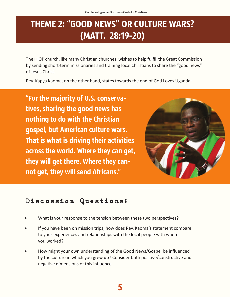# THEME 2: "GOOD NEWS" OR CULTURE WARS? (MATT. 28:19-20)

The IHOP church, like many Christian churches, wishes to help fulfill the Great Commission by sending short-term missionaries and training local Christians to share the "good news" of Jesus Christ.

Rev. Kapya Kaoma, on the other hand, states towards the end of God Loves Uganda:

"For the majority of U.S. conservatives, sharing the good news has nothing to do with the Christian gospel, but American culture wars. That is what is driving their activities across the world. Where they can get, they will get there. Where they cannot get, they will send Africans."



### Discussion Questions:

- What is your response to the tension between these two perspectives?
- If you have been on mission trips, how does Rev. Kaoma's statement compare to your experiences and relationships with the local people with whom you worked?
- How might your own understanding of the Good News/Gospel be influenced by the culture in which you grew up? Consider both positive/constructive and negative dimensions of this influence.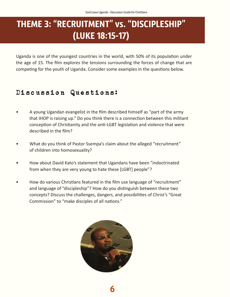# THEME 3: "RECRUITMENT" vs. "DISCIPLESHIP" (LUKE 18:15-17)

Uganda is one of the youngest countries in the world, with 50% of its population under the age of 15. The film explores the tensions surrounding the forces of change that are competing for the youth of Uganda. Consider some examples in the questions below.

#### hit anis sequasp ersped ut labor modit et pro elicia netur auditem re peri Discussion Questions:

- A young Ugandan evangelist in the film described himself as "part of the army that IHOP is raising up." Do you think there is a connection between this militant *Ebitiusam dolupta tentio corro totatatur?* conception of Christianity and the anti-LGBT legislation and violence that were described in the film?
- $\text{div}$ ? • What do you think of Pastor Ssempa's claim about the alleged "recruitment" of children into homosexuality?
- tati andion nonsectotas ent fugitis cum ea dolupta porehendi repuditio. • How about David Kato's statement that Ugandans have been "indoctrinated" from when they are very young to hate these [LGBT] people"?
- How do various Christians featured in the film use language of "recruitment" and language of "discipleship"? How do you distinguish between these two  $\frac{1}{100}$  identical in understanding  $\frac{1}{100}$  in understanding  $\frac{1}{100}$  in  $\frac{1}{100}$ concepts? Discuss the challenges, dangers, and possibilities of Christ's "Great" Commission" to "make disciples of all nations."

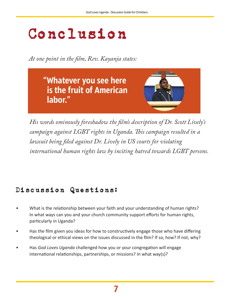# Conclusion

*At one point in the film, Rev. Kayanja states:* 

"Whatever you see here is the fruit of American labor."



*His words ominously foreshadow the film's description of Dr. Scott Lively's campaign against LGBT rights in Uganda. This campaign resulted in a lawsuit being filed against Dr. Lively in US courts for violating international human rights law by inciting hatred towards LGBT persons.* 

# Discussion Questions:

- What is the relationship between your faith and your understanding of human rights? In what ways can you and your church community support efforts for human rights, particularly in Uganda?
- Has the film given you ideas for how to constructively engage those who have differing theological or ethical views on the issues discussed in the film? If so, how? If not, why?
- Has *God Loves Uganda* challenged how you or your congregation will engage international relationships, partnerships, or missions? In what way(s)?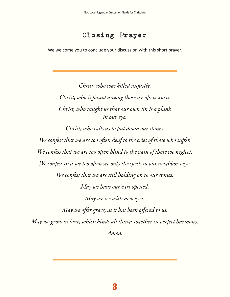#### Closing Prayer

We welcome you to conclude your discussion with this short prayer.

*Christ, who was killed unjustly. Christ, who is found among those we often scorn. Christ, who taught us that our own sin is a plank in our eye.*

*Christ, who calls us to put down our stones. We confess that we are too often deaf to the cries of those who suffer. We confess that we are too often blind to the pain of those we neglect. We confess that we too often see only the speck in our neighbor's eye. We confess that we are still holding on to our stones. May we have our ears opened. May we see with new eyes. May we offer grace, as it has been offered to us. May we grow in love, which binds all things together in perfect harmony. Amen.*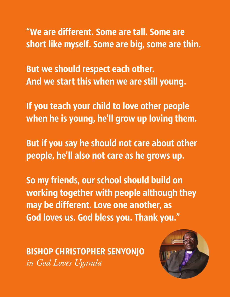"We are different. Some are tall. Some are short like myself. Some are big, some are thin.

But we should respect each other. And we start this when we are still young.

If you teach your child to love other people when he is young, he'll grow up loving them.

But if you say he should not care about other people, he'll also not care as he grows up.

So my friends, our school should build on working together with people although they may be different. Love one another, as God loves us. God bless you. Thank you."

BISHOP CHRISTOPHER SENYONJO *in God Loves Uganda*